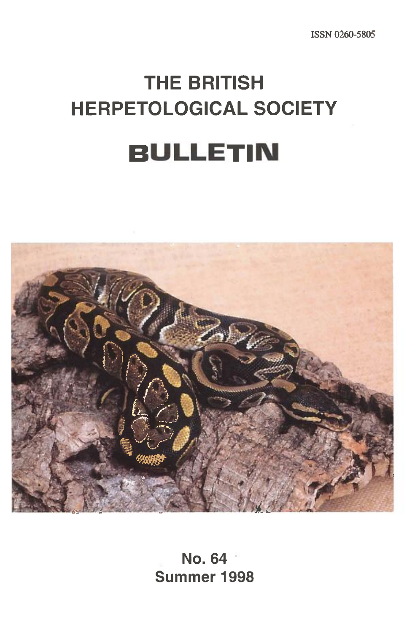ISSN 0260-5805

# **THE BRITISH HERPETOLOGICAL SOCIETY BULLETIN**



**No. 64 Summer 1998**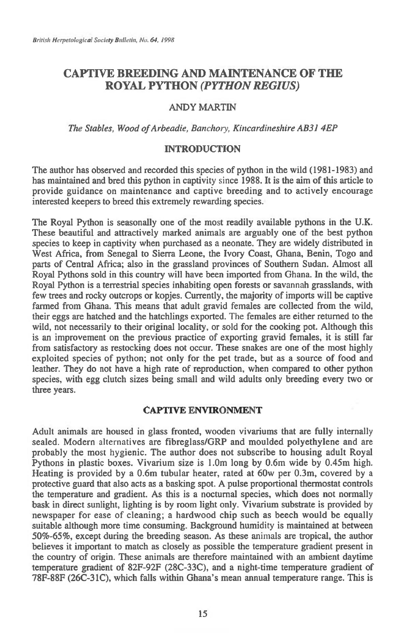# **CAPTIVE BREEDING AND MAINTENANCE OF THE ROYAL PYTHON** *(PYTHON REGIUS)*

# ANDY MARTIN

## *The Stables, Wood of Arbeadie, Banchory, Kincardineshire AB31 4EP*

## **INTRODUCTION**

The author has observed and recorded this species of python in the wild (1981-1983) and has maintained and bred this python in captivity since 1988. It is the aim of this article to provide guidance on maintenance and captive breeding and to actively encourage interested keepers to breed this extremely rewarding species.

The Royal Python is seasonally one of the most readily available pythons in the U.K. These beautiful and attractively marked animals are arguably one of the best python species to keep in captivity when purchased as a neonate. They are widely distributed in West Africa, from Senegal to Sierra Leone, the Ivory Coast, Ghana, Benin, Togo and parts of Central Africa; also in the grassland provinces of Southern Sudan. Almost all Royal Pythons sold in this country will have been imported from Ghana. In the wild, the Royal Python is a terrestrial species inhabiting open forests or savannah grasslands, with few trees and rocky outcrops or kopjes. Currently, the majority of imports will be captive fanned from Ghana. This means that adult gravid females are collected from the wild, their eggs are hatched and the hatchlings exported. The females are either returned to the wild, not necessarily to their original locality, or sold for the cooking pot. Although this is an improvement on the previous practice of exporting gravid females, it is still far from satisfactory as restocking does not occur. These snakes are one of the most highly exploited species of python; not only for the pet trade, but as a source of food and leather. They do not have a high rate of reproduction, when compared to other python species, with egg clutch sizes being small and wild adults only breeding every two or three years.

## **CAPTIVE ENVIRONMENT**

Adult animals are housed in glass fronted, wooden vivariums that are fully internally sealed. Modern alternatives are fibreglass/GRP and moulded polyethylene and are probably the most hygienic. The author does not subscribe to housing adult Royal Pythons in plastic boxes. Vivarium size is 1.0m long by 0.6m wide by 0.45m high. Heating is provided by a 0.6m tubular heater, rated at 60w per 0.3m, covered by a protective guard that also acts as a basking spot. A pulse proportional thermostat controls the temperature and gradient. As this is a nocturnal species, which does not normally bask in direct sunlight, lighting is by room light only. Vivarium substrate is provided by newspaper for ease of cleaning; a hardwood chip such as beech would be equally suitable although more time consuming. Background humidity is maintained at between 50%-65%, except during the breeding season. As these animals are tropical, the author believes it important to match as closely as possible the temperature gradient present in the country of origin. These animals are therefore maintained with an ambient daytime temperature gradient of 82F-92F (28C-33C), and a night-time temperature gradient of 78F-88F (26C-31C), which falls within Ghana's mean annual temperature range. This is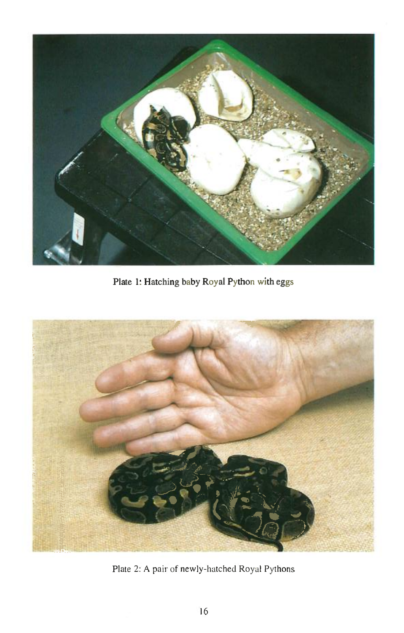

**Plate 1: Hatching baby Royal Python with eggs** 



Plate 2: A pair of newly-hatched Royal Pythons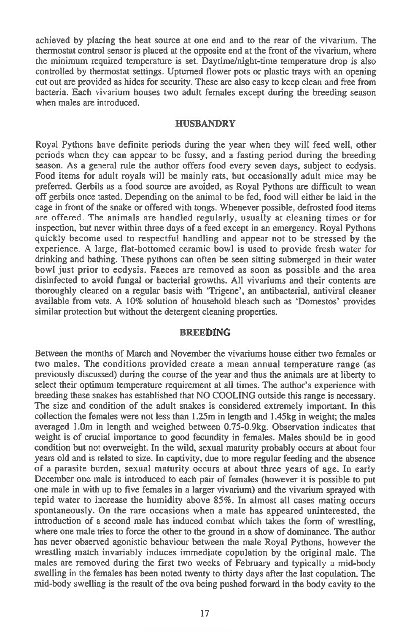achieved by placing the heat source at one end and to the rear of the vivarium. The thermostat control sensor is placed at the opposite end at the front of the vivarium, where the minimum required temperature is set. Daytime/night-time temperature drop is also controlled by thermostat settings. Upturned flower pots or plastic trays with an opening cut out are provided as hides for security. These are also easy to keep clean and free from bacteria. Each vivarium houses two adult females except during the breeding season when males are introduced.

#### **HUSBANDRY**

Royal Pythons have definite periods during the year when they will feed well, other periods when they can appear to be fussy, and a fasting period during the breeding season. As a general rule the author offers food every seven days, subject to ecdysis. Food items for adult royals will be mainly rats, but occasionally adult mice may be preferred. Gerbils as a food source are avoided, as Royal Pythons are difficult to wean off gerbils once tasted. Depending on the animal to be fed, food will either be laid in the cage in front of the snake or offered with tongs. Whenever possible, defrosted food items are offered. The animals are handled regularly, usually at cleaning times or for inspection, but never within three days of a feed except in an emergency. Royal Pythons quickly become used to respectful handling and appear not to be stressed by the experience. A large, flat-bottomed ceramic bowl is used to provide fresh water for drinking and bathing. These pythons can often be seen sitting submerged in their water bowl just prior to ecdysis. Faeces are removed as soon as possible and the area disinfected to avoid fungal or bacterial growths. All vivariums and their contents are thoroughly cleaned on a regular basis with `Trigene', an antibacterial, antiviral cleaner available from vets. A  $10\%$  solution of household bleach such as 'Domestos' provides similar protection but without the detergent cleaning properties.

## **BREEDING**

Between the months of March and November the vivariums house either two females or two males. The conditions provided create a mean annual temperature range (as previously discussed) during the course of the year and thus the animals are at liberty to select their optimum temperature requirement at all times. The author's experience with breeding these snakes has established that NO COOLING outside this range is necessary. The size and condition of the adult snakes is considered extremely important. In this collection the females were not less than I.25m in length and 1.45kg in weight; the males averaged 1.0m in length and weighed between 0.75-0.9kg. Observation indicates that weight is of crucial importance to good fecundity in females. Males should be in good condition but not overweight. In the wild, sexual maturity probably occurs at about four years old and is related to size. In captivity, due to more regular feeding and the absence of a parasite burden, sexual maturity occurs at about three years of age. In early December one male is introduced to each pair of females (however it is possible to put one male in with up to five females in a larger vivarium) and the vivarium sprayed with tepid water to increase the humidity above 85%. In almost all cases mating occurs spontaneously. On the rare occasions when a male has appeared uninterested, the introduction of a second male has induced combat which takes the form of wrestling, where one male tries to force the other to the ground in a show of dominance. The author has never observed agonistic behaviour between the male Royal Pythons, however the wrestling match invariably induces immediate copulation by the original male. The males are removed during the first two weeks of February and typically a mid-body swelling in the females has been noted twenty to thirty days after the last copulation. The mid-body swelling is the result of the ova being pushed forward in the body cavity to the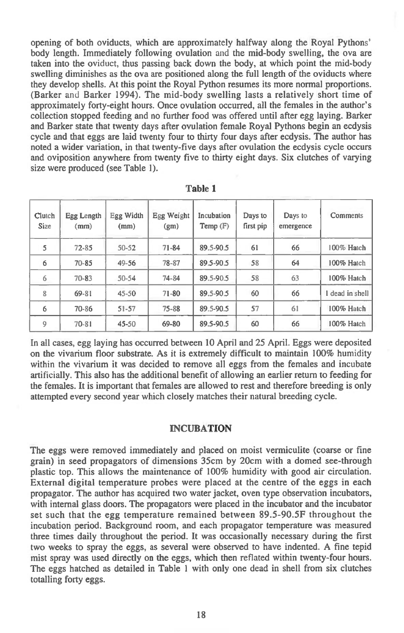opening of both oviducts, which are approximately halfway along the Royal Pythons' body length. Immediately following ovulation and the mid-body swelling, the ova are taken into the oviduct, thus passing back down the body, at which point the mid-body swelling diminishes as the ova are positioned along the full length of the oviducts where they develop shells. At this point the Royal Python resumes its more normal proportions. (Barker and Barker 1994). The mid-body swelling lasts a relatively short time of approximately forty-eight hours. Once ovulation occurred, all the females in the author's collection stopped feeding and no further food was offered until after egg laying. Barker and Barker state that twenty days after ovulation female Royal Pythons begin an ecdysis cycle and that eggs are laid twenty four to thirty four days after ecdysis. The author has noted a wider variation, in that twenty-five days after ovulation the ecdysis cycle occurs and oviposition anywhere from twenty five to thirty eight days. Six clutches of varying size were produced (see Table 1).

| Clutch<br><b>Size</b> | Egg Length<br>(mm) | Egg Width<br>(mm) | Egg Weight<br>(gm) | Incubation<br>Temp(F) | Days to<br>first pip | Days to<br>emergence | Comments        |
|-----------------------|--------------------|-------------------|--------------------|-----------------------|----------------------|----------------------|-----------------|
| 5                     | $72 - 85$          | $50 - 52$         | $71 - 84$          | 89.5-90.5             | 61                   | 66                   | 100% Hatch      |
| 6                     | $70 - 85$          | $49 - 56$         | 78-87              | 89.5-90.5             | 58                   | 64                   | 100% Hatch      |
| 6                     | $70 - 83$          | $50 - 54$         | 74-84              | 89.5-90.5             | 58                   | 63                   | 100% Hatch      |
| 8                     | 69-81              | $45 - 50$         | $71 - 80$          | 89.5-90.5             | 60                   | 66                   | I dead in shell |
| 6                     | 70-86              | $51 - 57$         | 75-88              | 89.5-90.5             | 57                   | 61                   | 100% Hatch      |
| 9                     | 70-81              | 45-50             | 69-80              | 89.5-90.5             | 60                   | 66                   | 100% Hatch      |

**Table 1** 

In all cases, egg laying has occurred between 10 April and 25 April. Eggs were deposited on the vivarium floor substrate. As it is extremely difficult to maintain 100% humidity within the vivarium it was decided to remove all eggs from the females and incubate artificially. This also has the additional benefit of allowing an earlier return to feeding for the females. It is important that females are allowed to rest and therefore breeding is only attempted every second year which closely matches their natural breeding cycle.

#### **INCUBATION**

The eggs were removed immediately and placed on moist vermiculite (coarse or fine grain) in seed propagators of dimensions 35cm by 20cm with a domed see-through plastic top. This allows the maintenance of 100% humidity with good air circulation. External digital temperature probes were placed at the centre of the eggs in each propagator. The author has acquired two water jacket, oven type observation incubators, with internal glass doors. The propagators were placed in the incubator and the incubator set such that the egg temperature remained between 89.5-90.5F throughout the incubation period. Background room, and each propagator temperature was measured three times daily throughout the period. It was occasionally necessary during the first two weeks to spray the eggs, as several were observed to have indented. A fine tepid mist spray was used directly on the eggs, which then reflated within twenty-four hours. The eggs hatched as detailed in Table 1 with only one dead in shell from six clutches totalling forty eggs.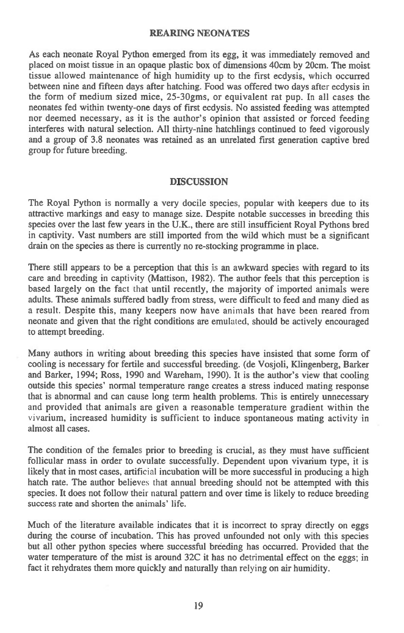## **REARING NEONATES**

**As each neonate Royal Python emerged from its egg, it was immediately removed and placed on moist tissue in an opaque plastic box of dimensions 40cm by 20cm. The moist tissue allowed maintenance of high humidity up to the first ecdysis, which occurred between nine and fifteen days after hatching. Food was offered two days after ecdysis in the form of medium sized mice, 25-30gms, or equivalent rat pup. In all cases the neonates fed within twenty-one days of first ecdysis. No assisted feeding was attempted nor deemed necessary, as it is the author's opinion that assisted or forced feeding interferes with natural selection. All thirty-nine hatchlings continued to feed vigorously and a group of 3.8 neonates was retained as an unrelated first generation captive bred group for future breeding.** 

#### **DISCUSSION**

**The Royal Python is normally a very docile species, popular with keepers due to its attractive markings and easy to manage size. Despite notable successes in breeding this species over the last few years in the U.K., there are still insufficient Royal Pythons bred in captivity. Vast numbers are still imported from the wild which must be a significant drain on the species as there is currently no re-stocking programme in place.** 

**There still appears to be a perception that this is an awkward species with regard to its care and breeding in captivity (Mattison, 1982). The author feels that this perception is based largely on the fact that until recently, the majority of imported animals were adults. These animals suffered badly from stress, were difficult to feed and many died as a result. Despite this, many keepers now have animals that have been reared from neonate and given that the right conditions are emulated, should be actively encouraged to attempt breeding.** 

**Many authors in writing about breeding this species have insisted that some form of cooling is necessary for fertile and successful breeding. (de Vosjoli, Klingenberg, Barker and Barker, 1994; Ross, 1990 and Wareham, 1990). It is the author's view that cooling outside this species' normal temperature range creates a stress induced mating response that is abnormal and can cause long term health problems. This is entirely unnecessary and provided that animals are given a reasonable temperature gradient within the vivarium, increased humidity is sufficient to induce spontaneous mating activity in almost all cases.** 

**The condition of the females prior to breeding is crucial, as they must have sufficient follicular mass in order to ovulate successfully. Dependent upon vivarium type, it is likely that in most cases, artificial incubation will be more successful in producing a high hatch rate. The author believes that annual breeding should not be attempted with this species. It does not follow their natural pattern and over time is likely to reduce breeding success rate and shorten the animals' life.** 

**Much of the literature available indicates that it is incorrect to spray directly on eggs during the course of incubation. This has proved unfounded not only with this species but all other python species where successful breeding has occurred. Provided that the water temperature of the mist is around 32C it has no detrimental effect on the eggs; in fact it rehydrates them more quickly and naturally than relying on air humidity.**